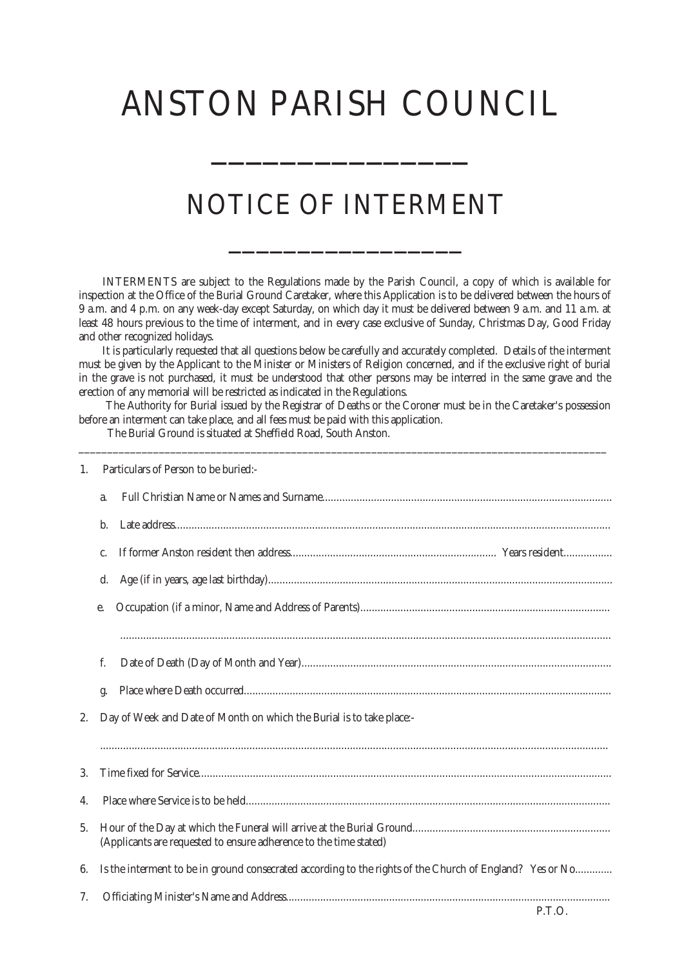## ANSTON PARISH COUNCIL

 $\mathcal{L}=\mathcal{L}^{\text{max}}$ 

## NOT ICE OF INT ERMENT

 $\mathcal{L}=\mathcal{L}^{\text{max}}$ 

INT ERMENT S are subject to the Regulations made by the Parish Council, a copy of which is available for inspection at the Office of the Burial Ground Caretaker, where this Application is to be delivered between the hours of 9 a.m. and 4 p.m. on any week-day except Saturday, on which day it must be delivered between 9 a.m. and 11 a.m. at least 48 hours previous to the time of interment, and in every case exclusive of Sunday, Christmas Day, Good Friday and other recognized holidays.

It is particularly requested that all questions below be carefully and accurately completed. Details of the interment must be given by the Applicant to the Minister or Ministers of Religion concerned, and if the exclusive right of burial in the grave is not purchased, it must be understood that other persons may be interred in the same grave and the erection of any memorial will be restricted asindicated in the Regulations.

T he Authority for Burial issued by the Registrar of Deaths or the Coroner must be in the Caretaker's possession before an interment can take place, and all fees must be paid with this application.

\_\_\_\_\_\_\_\_\_\_\_\_\_\_\_\_\_\_\_\_\_\_\_\_\_\_\_\_\_\_\_\_\_\_\_\_\_\_\_\_\_\_\_\_\_\_\_\_\_\_\_\_\_\_\_\_\_\_\_\_\_\_\_\_\_\_\_\_\_\_\_\_\_\_\_\_\_\_\_\_\_\_\_\_\_\_\_\_\_\_\_\_

T he Burial Ground issituated at Sheffield Road, South Anston.

| 1. | Particulars of Person to be buried:- |                                                                                                          |        |  |  |  |
|----|--------------------------------------|----------------------------------------------------------------------------------------------------------|--------|--|--|--|
|    | a.                                   |                                                                                                          |        |  |  |  |
|    | b.                                   |                                                                                                          |        |  |  |  |
|    | C.                                   |                                                                                                          |        |  |  |  |
|    | d.                                   |                                                                                                          |        |  |  |  |
|    | е.                                   |                                                                                                          |        |  |  |  |
|    |                                      |                                                                                                          |        |  |  |  |
|    | f.                                   |                                                                                                          |        |  |  |  |
|    | q.                                   |                                                                                                          |        |  |  |  |
| 2. |                                      | Day of Week and Date of Month on which the Burial is to take place.                                      |        |  |  |  |
|    |                                      |                                                                                                          |        |  |  |  |
| 3. |                                      |                                                                                                          |        |  |  |  |
| 4. |                                      |                                                                                                          |        |  |  |  |
| 5. |                                      | (Applicants are requested to ensure adherence to the time stated)                                        |        |  |  |  |
| 6. |                                      | Is the interment to be in ground consecrated according to the rights of the Church of England? Yes or No |        |  |  |  |
| 7. |                                      |                                                                                                          |        |  |  |  |
|    |                                      |                                                                                                          | P.T.O. |  |  |  |